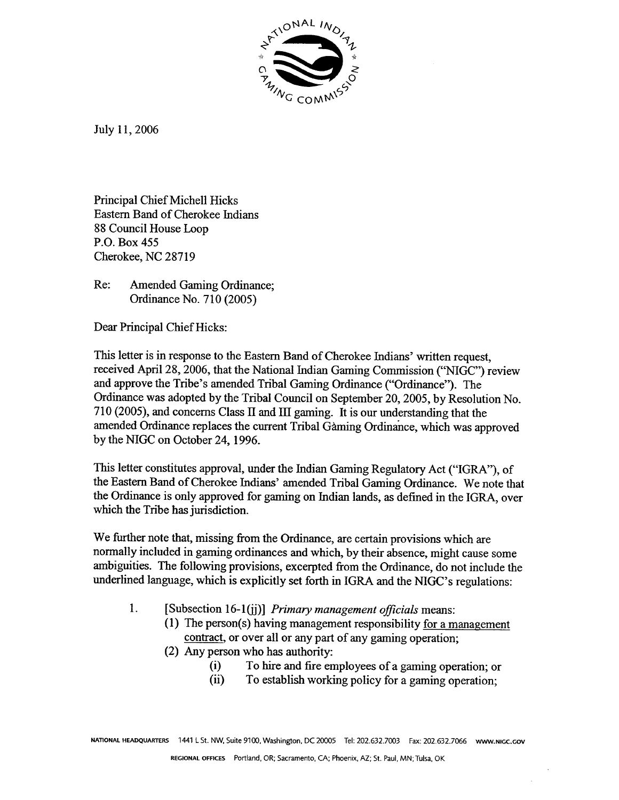

July 11, 2006

Principal Chief Michell Hicks Eastern Band of Cherokee Indians 88 Council House Loop P.O. Box 455 Cherokee, NC 28719

Re: Amended Gaming Ordinance; Ordinance No. 7 10 (2005)

Dear Principal Chief Hicks:

This letter is in response to the Eastern Band of Cherokee Indians' written request, received April 28, 2006, that the National Indian Gaming Commission ("NIGC") review and approve the Tribe's amended Tribal Gaming Ordinance ("Ordinance"). The Ordinance was adopted by the Tribal Council on September 20,2005, by Resolution No. 710 (2005), and concerns Class  $\Pi$  and  $\Pi$  gaming. It is our understanding that the amended Ordinance replaces the current Tribal Gàming Ordinance, which was approved by the NIGC on October 24,1996.

This letter constitutes approval, under the Indian Gaming Regulatory Act **("IGRX7),** of the Eastern Band of Cherokee Indians' amended Tribal Gaming Ordinance. We note that the Ordinance is only approved for gaming on Indian lands, as defined in the IGRA, over which the Tribe **has** jurisdiction.

We further note that, missing from the Ordinance, are certain provisions which are normally included in gaming ordinances and which, by their absence, might cause some ambiguities. The following provisions, excerpted fiom the Ordinance, do not include the underlined language, which is explicitly set forth in IGRA and the NIGC's regulations:

- **1.** [Subsection 16-1 (ii) J *Primary management oficials* means:
	- (1) The person(s) having management responsibility for a management contract, or over all or any part of any gaming operation;
	- (2) Any person who has authority:
		- (i) To hire and fire employees of a gaming operation; or (ii) To establish working policy for a gaming operation:
		- To establish working policy for a gaming operation;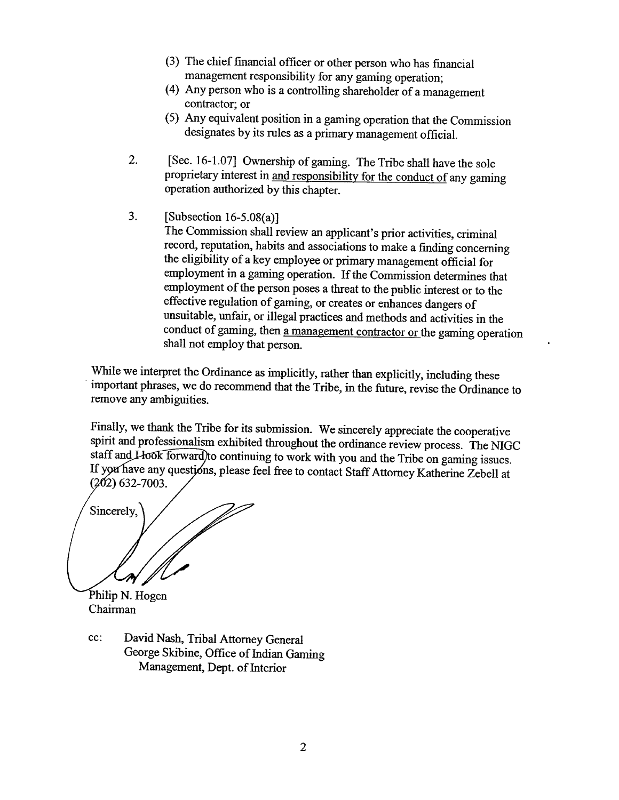- **(3)** The chief financial officer or other person who has financial management responsibility for any gaming operation;
- (4) Any person who is a controlling shareholder of a management contractor; or
- (5) **Any** equivalent position in a gaming operation that the Commission designates by its rules as a primary management official.
- 2. [Sec. 16-1.071 Ownership of gaming. The Tribe shall have the sole proprietary interest in and responsibility for the conduct of any gaming operation authorized by this chapter.
- **3.** [Subsection 16-5.08(a)]

The Commission shall review an applicant's prior activities, criminal record, reputation, habits and associations to make a finding concerning the eligibility of a key employee or primary management official for employment in a gaming operation. If the Commission determines that employment of the person poses a threat to the public interest or to the effective regulation of gaming, or creates or enhances dangers of unsuitable, unfair, or illegal practices and methods and activities in the conduct of gaming, then a management contractor or the gaming operation shall not employ that person.

While we interpret the Ordinance as implicitly, rather than explicitly, including these important phrases, we do recommend that the Tribe, in the future, revise the Ordinance to remove any ambiguities.

Finally, we thank the Tribe for its submission. We sincerely appreciate the cooperative spirit and professionalism exhibited throughout the ordinance review process. The NIGC staff and Llook forward) to continuing to work with you and the Tribe on gaming issues. If you have any questions, please feel free to contact Staff Attorney Katherine Zebell at  $(202)$  632-7003.

Sincerely,

Philip N. Hogen Chairman

cc: David Nash, Tribal Attorney General George Skibine, Office of Indian Gaming Management, **Dept.** of Interior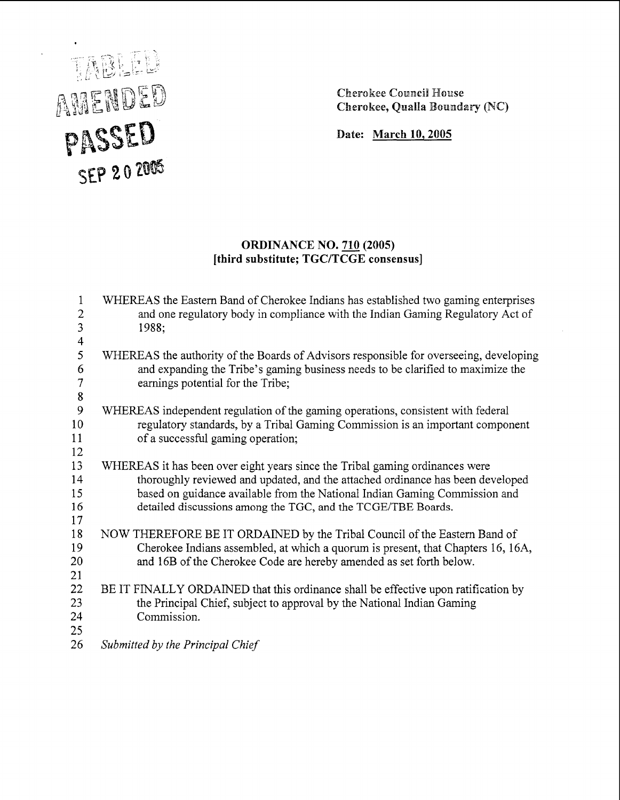#### Cherokee Council House Cherokee, Qualla Boundary (NC)

Date: March **10,2005** 

# TABLEL AMENDED PASSED  $SEP 202005$

# **ORDINANCE NO. 710 (2005)**  [third substitute; **TGCITCGE** consensus]

| $\mathbf{1}$<br>$\overline{2}$ | WHEREAS the Eastern Band of Cherokee Indians has established two gaming enterprises<br>and one regulatory body in compliance with the Indian Gaming Regulatory Act of |
|--------------------------------|-----------------------------------------------------------------------------------------------------------------------------------------------------------------------|
| 3                              | 1988;                                                                                                                                                                 |
| $\overline{4}$                 |                                                                                                                                                                       |
| 5                              | WHEREAS the authority of the Boards of Advisors responsible for overseeing, developing                                                                                |
| 6                              | and expanding the Tribe's gaming business needs to be clarified to maximize the                                                                                       |
| $\overline{7}$                 | earnings potential for the Tribe;                                                                                                                                     |
| $\boldsymbol{8}$               |                                                                                                                                                                       |
| 9                              | WHEREAS independent regulation of the gaming operations, consistent with federal                                                                                      |
| 10                             | regulatory standards, by a Tribal Gaming Commission is an important component                                                                                         |
| 11                             | of a successful gaming operation;                                                                                                                                     |
| 12                             |                                                                                                                                                                       |
| 13                             | WHEREAS it has been over eight years since the Tribal gaming ordinances were                                                                                          |
| 14                             | thoroughly reviewed and updated, and the attached ordinance has been developed                                                                                        |
| 15                             | based on guidance available from the National Indian Gaming Commission and                                                                                            |
| 16                             | detailed discussions among the TGC, and the TCGE/TBE Boards.                                                                                                          |
| 17                             |                                                                                                                                                                       |
| 18                             | NOW THEREFORE BE IT ORDAINED by the Tribal Council of the Eastern Band of                                                                                             |
| 19                             | Cherokee Indians assembled, at which a quorum is present, that Chapters 16, 16A,                                                                                      |
| 20                             | and 16B of the Cherokee Code are hereby amended as set forth below.                                                                                                   |
| 21                             |                                                                                                                                                                       |
| 22<br>23                       | BE IT FINALLY ORDAINED that this ordinance shall be effective upon ratification by                                                                                    |
| 24                             | the Principal Chief, subject to approval by the National Indian Gaming<br>Commission.                                                                                 |
| 25                             |                                                                                                                                                                       |
| 26                             |                                                                                                                                                                       |
|                                | Submitted by the Principal Chief                                                                                                                                      |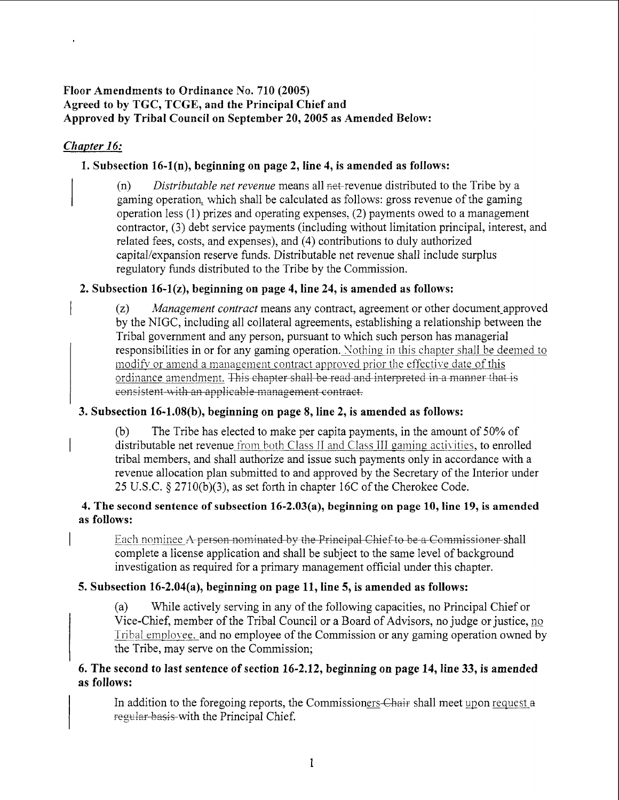### Floor Amendments to Ordinance No. 710 (2005) Agreed to by TGC, TCGE, and the Principal Chief and Approved by Tribal Council on September 20,2005 as Amended Below:

# *<i>Chapter 16:*

# 1. Subsection 16-l(n), beginning on page 2, line 4, is amended as follows:

(n) *Distributable net revenue* means all net-revenue distributed to the Tribe by a gaming operation, which shall be calculated as follows: gross revenue of the gaming operation less (1) prizes and operating expenses, (2) payments owed to a management contractor, (3) debt service payments (including without limitation principal, interest, and related fees, costs, and expenses), and (4) contributions to duly authorized capital/expansion reserve funds. Distributable net revenue shall include surplus regulatory funds distributed to the Tribe by the Commission. andments to Ordinance No. 710 (2005)<br>by TGC, TGCG, and the Principal Chief and<br>by Tribal Council on September 20, 2005 as Amended Below:<br> $\frac{52}{2}$ <br>(a) Distributable act revenue means all net revenue distributed to the Tr

# 2. Subsection 16-l(z), beginning on page 4, line 24, is amended as follows:

I (z) *Management contract* means any contract, agreement or other document-approved by the NIGC, including all collateral agreements, establishing a relationship between the Tribal government and any person, pursuant to which such person has managerial responsibilities in or for any gaming operation. Nothing in this chapter shall be deemed to modify or amend a management contract approved prior the effective date of this

#### 3. Subsection 16-1.08(b), beginning on page 8, line 2, is amended as follows:

(b) The Tribe has elected to make per capita payments, in the amount of 50% of distributable net revenue from both Class II and Class III gaming activities, to enrolled tribal members, and shall authorize and issue such payments only in accordance with a revenue allocation plan submitted to and approved by the Secretary of the Interior under 25 U.S.C. § 2710(b)(3), as set forth in chapter 16C of the Cherokee Code.

#### 4. The second sentence of subsection 16-2.03(a), beginning on page 10, line 19, is amended as follows:

**Each nominee A person nominated by the Principal Chief to be a Commissioner shall** complete a license application and shall be subject to the same level of background investigation as required for a primary management official under this chapter.

# 5. Subsection 16-2.04(a), beginning on page 11, line 5, is amended as follows:

(a) While actively serving in any of the following capacities, no Principal Chief or Vice-Chief, member of the Tribal Council or a Board of Advisors, no judge or justice, Tribal employee, and no employee of the Commission or any gaming operation owned by the Tribe, may serve on the Commission;

#### 6. The second to last sentence of section 16-2.12, beginning on page 14, line 33, is amended as follows:

In addition to the foregoing reports, the Commissioners-Chair shall meet upon request a regular basis with the Principal Chief.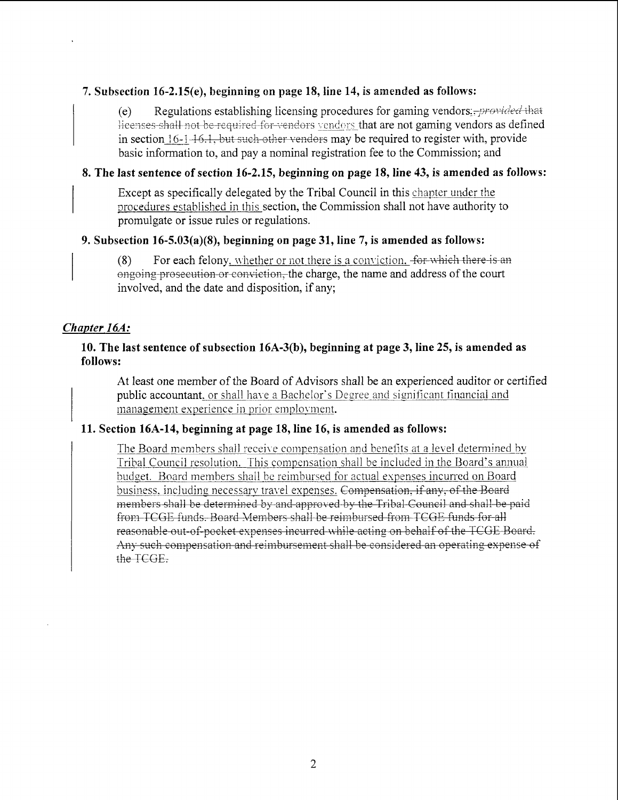#### 7. Subsection 16-2.15(e), beginning an page 18, line 14, is amended as follows:

(e) Regulations establishing licensing procedures for gaming vendors: $+$ *provided* that He enses-shall not be-required for vendors vendors that are not gaming vendors as defined in section 16-1-16.1, but such other venders may be required to register with, provide basic information to, and pay a nominal registration fee to the Commission; and

#### 8. The last sentence of section 16-2.15, beginning on page 18, line 43, is amended as follows:

Except as specifically delegated by the Tribal Council in this chapter under the procedures established in this section, the Commission shall not have authority to promulgate or issue rules or regulations.

#### 9. Subsection 16-5.03(a)(8), beginning on page 31, line 7, is amended as follows:

(8) For each felony, whether or not there is a conviction. For which there is an engoing prosecution or conviction, the charge, the name and address of the court involved, and the date and disposition, if any;

#### *Chapter 16A:*

#### 10. The last sentence of subsection 16A-3(b), beginning at page 3, line 25, is amended as follows:

At least one member of the Board of Advisors shall be an experienced auditor or certified public accountant. or shall have a Bachelor's Degree and significant financial and management experience in prior employment.

#### 11. Section 16A-14, beginning at page 18, line 16, is amended as follows:

The Board members shall receive compensation and benefits at a level determined by Tribal Council resolution. This compensation shall be included in the Board's annual budget. Board members shall be reimbursed for actual expenses incurred on Board from TCGE funds. Board Members shall be reimbursed from TCGE funds for all <u>business, including necessary travel-</u> members shall be determined by and approved by the Tribal Council and shall be paid <u>remnourse</u><br>vel expens<br>and-appro expected the content of gammatic and the constrained the senders may be required to register with, provide<br>inal registration fee to the Commission; and<br>timing on page 18, line 43, is amended as follows:<br>the Frihal Council **es incurred while acting on behalf of the TCGE Board.** At least one member of the Board of Advisors shall be an experienced auditor or certified<br>public accountant, or shall have a Bachelor's Degree and significant financial and<br>management experience in prior employment.<br>In  $16$ **&f;e** TCGE.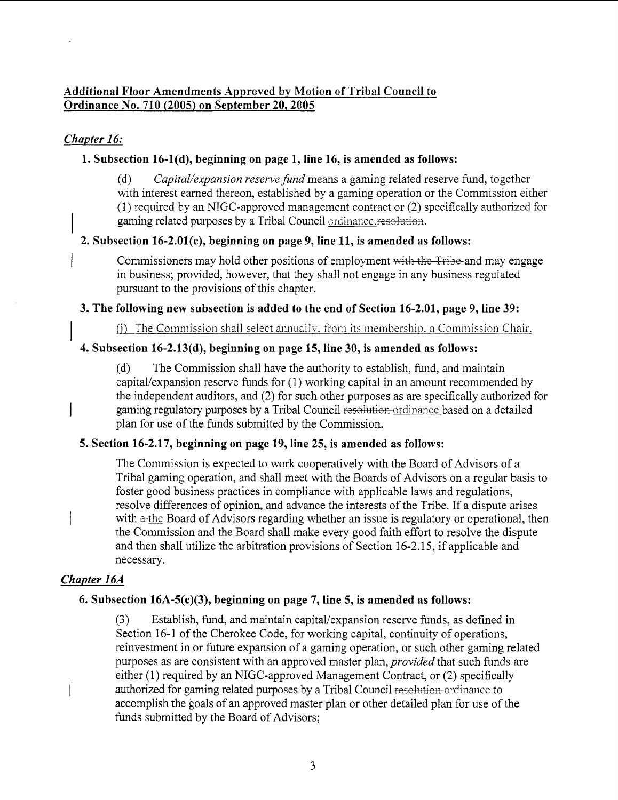# **Additional Floor Amendments Approved by Motion of Tribal Council to Ordinance No. 710 (2005) on September 20,2005**

# Chapter 16:

# **1. Subsection 16-l(d), beginning on page 1, line 16, is amended as follows:**

(d) *Capital/expansion reserve fund* means a gaming related reserve fund, together with interest earned thereon, established by a gaming operation or the Commission either **(1)** required by an NIGC-approved management contract or (2) specifically authorized for gaming related purposes by a Tribal Council ordinance resolution.

# **2. Subsection 16-2.01(c), beginning on page 9, line 11, is amended as follows:**

Commissioners may hold other positions of employment with the Tribe-and may engage in business; provided, however, that they shall not engage in any business regulated pursuant to the provisions of this chapter.

# **3. The following new subsection is added to the end of Section 16-2.01, page 9, line 39:**

 $(f)$  The Commission shall select annually, from its membership, a Commission Chair.

# **4. Subsection 16-2.13(d), beginning on page 15, line 30, is amended as follows:**

(d) The Commission shall have the authority to establish, fund, and maintain capital/expansion reserve funds for (1) working capital in an amount recommended by the independent auditors, and (2) for such other purposes as are specifically authorized for gaming regulatory purposes by a Tribal Council resolution ordinance based on a detailed plan for use of the funds submitted by the Commission.

# **5. Section 16-2.17, beginning on page 19, line 25, is amended as follows:**

The Commission is expected to work cooperatively with the Board of Advisors of a Tribal gaming operation, and shall meet with the Boards of Advisors on a regular basis to foster good business practices in compliance with applicable laws and regulations, resolve differences of opinion, and advance the interests of the Tribe. If a dispute arises with a-the Board of Advisors regarding whether an issue is regulatory or operational, then the Commission and the Board shall make every good faith effort to resolve the dispute and then shall utilize the arbitration provisions of Section **16-2.15,** if applicable and necessary.

# **Chapter 16A**

# **6. Subsection 16A-5(c)(3), beginning on page 7, line 5, is amended as follows:**

(3) Establish, fund, and maintain capital/expansion reserve funds, as defined in Section **16-1** of the Cherokee Code, for working capital, continuity of operations, reinvestment in or future expansion of a gaming operation, or such other gaming related purposes as are consistent with an approved master plan, *provided* that such funds are either **(1)** required by an NIGC-approved Management Contract, or (2) specifically authorized for gaming related purposes by a Tribal Council resolution-ordinance to accomplish the goals of an approved master plan or other detailed plan for use of the funds submitted by the Board of Advisors;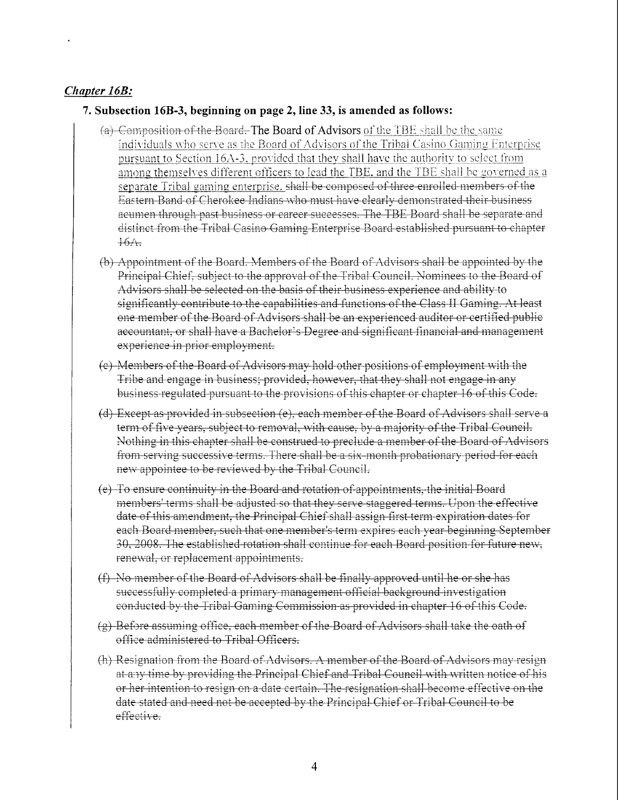# *Chapter 16B:*

#### **7. Subsection 16B-3, beginning on page 2, line 33, is amended as follows:**

- (a) Composition of the Board. The Board of Advisors of the TBE shall be the same individuals who serve as the Board of Advisors of the Tribal Casino Gaming Enterprise pursuant to Section  $16A-3$ , provided that they shall have the authority to select from among themselves different officers to lead the TBE, and the TBE shall be governed as a separate Tribal gaming enterprise. *shall* be composed of three enrolled members of the Eastern Band of Cherokee Indians who must have clearly demonstrated their business acumen through past business or career successes. The TBE Board shall be separate and distinct from the Tribal Casino Gaming Enterprise Board established pursuant to chapter  $16/1$
- (b) Appointment of the Board. Members of the Board of Advisors shall be appointed by the Principal Chief, subject to the approval of the Tribal Council. Nominees to the Board of Advisors shall be selected on the basis of their business experience and ability to significantly contribute to the capabilities and functions of the Class II Gaming. At least one member of the Board of Advisors shall be an experienced auditor or certified public accountant, or shall have a Bachelor's Degree and significant financial and management experience in prior employment.
- (e) Members of the Board of Advisors may hold other positions of employment with the Tribe and engage in business; provided, however, that they shall not engage in any business regulated pursuant to the provisions of this chapter or chapter 16 of this Code.
- (d) Except as provided in subsection (e), each member of the Board of Advisors shall serve a term of five years, subject to removal, with cause, by a majority of the Tribal Council. Nothing in this chapter shall be construed to preclude a member of the Board of Advisors from serving successive terms. There shall be a six-month probationary period for each new appointee to be reviewed by the Tribal Council.
- $(e)$  To ensure continuity in the Board and rotation of appointments, the initial Board members' terms shall be adjusted so that they serve staggered terms. Upon the effective date of this amendment, the Principal Chief shall assign first term expiration dates for each Board member, such that one member's term expires each year beginning September 30, 2008. The established rotation shall continue for each Board position for future new. renewal, or replacement appointments.
- (f) No member of the Board of Advisors shall be finally approved until he or she has successfully completed a primary management official background investigation conducted by the Tribal Gaming Commission as provided in chapter 16 of this Code.
- (g) Before assuming office, each member of the Board of Advisors shall take the oath of office administered to Tribal Officers.
- $(h)$  Resignation from the Board of Advisors. A member of the Board of Advisors may resign **1. A** *x* 3. *P***<sub>1</sub>** *x* **4.** *<b>P<sub>1</sub> <i>P***<sub>1</sub> <b>***P***<sub>1</sub> <b>***P***<sub>1</sub> <b>***P*<sub>1</sub> *P*<sub>1</sub> *P*<sub>1</sub> *P***<sub>1</sub> <b>***P*<sub>1</sub> *P*<sub>1</sub> *P*<sub>1</sub> *P*<sub>1</sub> *P<sub>1</sub> <i>P***<sub>1</sub> <b>***P***<sub>1</sub> <b>***P*<sub>1</sub> *P<sub>1</sub> <i>P*<sub>1</sub> *P<sub>1</sub> <i>P*<sub>1</sub> *P<sub>1</sub> <i>P*<sub>1</sub> *P<sub>*</sub> or her intention to resign on a date certain. The resignation shall become effective on the date stated and need not be accepted by the Principal Chief or Tribal Council to be effective.